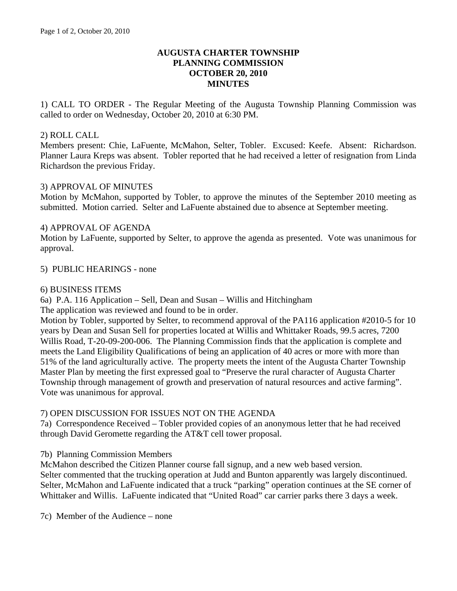# **AUGUSTA CHARTER TOWNSHIP PLANNING COMMISSION OCTOBER 20, 2010 MINUTES**

1) CALL TO ORDER - The Regular Meeting of the Augusta Township Planning Commission was called to order on Wednesday, October 20, 2010 at 6:30 PM.

## 2) ROLL CALL

Members present: Chie, LaFuente, McMahon, Selter, Tobler. Excused: Keefe. Absent: Richardson. Planner Laura Kreps was absent. Tobler reported that he had received a letter of resignation from Linda Richardson the previous Friday.

## 3) APPROVAL OF MINUTES

Motion by McMahon, supported by Tobler, to approve the minutes of the September 2010 meeting as submitted. Motion carried. Selter and LaFuente abstained due to absence at September meeting.

# 4) APPROVAL OF AGENDA

Motion by LaFuente, supported by Selter, to approve the agenda as presented. Vote was unanimous for approval.

#### 5) PUBLIC HEARINGS - none

# 6) BUSINESS ITEMS

6a) P.A. 116 Application – Sell, Dean and Susan – Willis and Hitchingham

The application was reviewed and found to be in order.

Motion by Tobler, supported by Selter, to recommend approval of the PA116 application #2010-5 for 10 years by Dean and Susan Sell for properties located at Willis and Whittaker Roads, 99.5 acres, 7200 Willis Road, T-20-09-200-006. The Planning Commission finds that the application is complete and meets the Land Eligibility Qualifications of being an application of 40 acres or more with more than 51% of the land agriculturally active. The property meets the intent of the Augusta Charter Township Master Plan by meeting the first expressed goal to "Preserve the rural character of Augusta Charter Township through management of growth and preservation of natural resources and active farming". Vote was unanimous for approval.

#### 7) OPEN DISCUSSION FOR ISSUES NOT ON THE AGENDA

7a) Correspondence Received – Tobler provided copies of an anonymous letter that he had received through David Geromette regarding the AT&T cell tower proposal.

#### 7b) Planning Commission Members

McMahon described the Citizen Planner course fall signup, and a new web based version. Selter commented that the trucking operation at Judd and Bunton apparently was largely discontinued. Selter, McMahon and LaFuente indicated that a truck "parking" operation continues at the SE corner of Whittaker and Willis. LaFuente indicated that "United Road" car carrier parks there 3 days a week.

7c) Member of the Audience – none